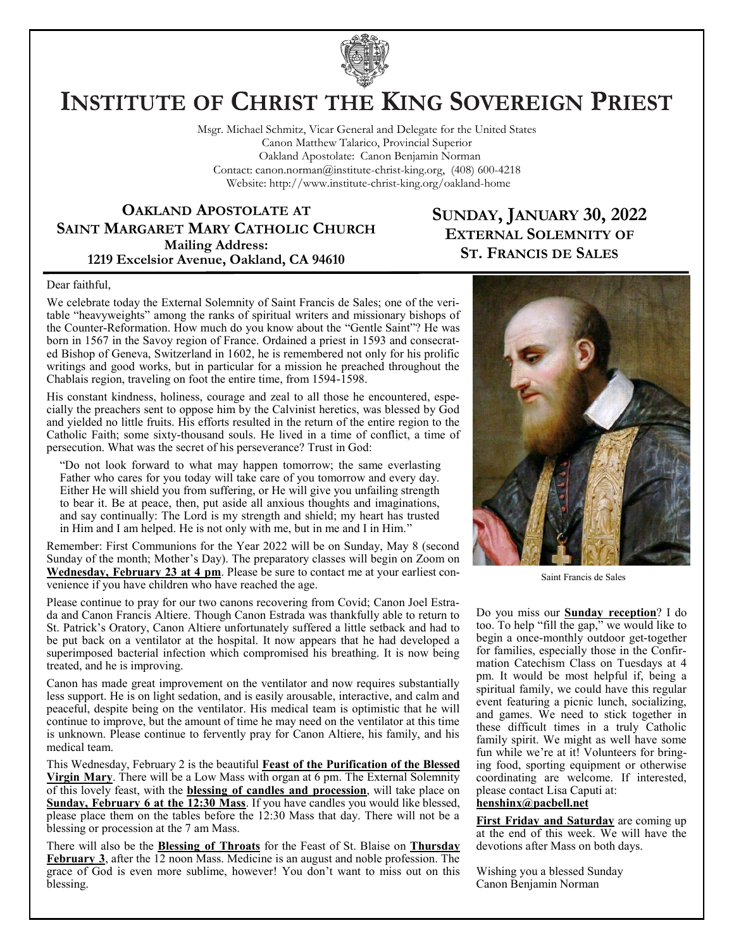

# **INSTITUTE OF CHRIST THE KING SOVEREIGN PRIEST**

Msgr. Michael Schmitz, Vicar General and Delegate for the United States Canon Matthew Talarico, Provincial Superior Oakland Apostolate: Canon Benjamin Norman Contact: canon.norman@institute-christ-king.org, (408) 600-4218 Website: http://www.institute-christ-king.org/oakland-home

**OAKLAND APOSTOLATE AT SAINT MARGARET MARY CATHOLIC CHURCH Mailing Address: 1219 Excelsior Avenue, Oakland, CA 94610**

# **SUNDAY, JANUARY 30, 2022 EXTERNAL SOLEMNITY OF ST. FRANCIS DE SALES**

#### Dear faithful,

We celebrate today the External Solemnity of Saint Francis de Sales; one of the veritable "heavyweights" among the ranks of spiritual writers and missionary bishops of the Counter-Reformation. How much do you know about the "Gentle Saint"? He was born in 1567 in the Savoy region of France. Ordained a priest in 1593 and consecrated Bishop of Geneva, Switzerland in 1602, he is remembered not only for his prolific writings and good works, but in particular for a mission he preached throughout the Chablais region, traveling on foot the entire time, from 1594-1598.

His constant kindness, holiness, courage and zeal to all those he encountered, especially the preachers sent to oppose him by the Calvinist heretics, was blessed by God and yielded no little fruits. His efforts resulted in the return of the entire region to the Catholic Faith; some sixty-thousand souls. He lived in a time of conflict, a time of persecution. What was the secret of his perseverance? Trust in God:

"Do not look forward to what may happen tomorrow; the same everlasting Father who cares for you today will take care of you tomorrow and every day. Either He will shield you from suffering, or He will give you unfailing strength to bear it. Be at peace, then, put aside all anxious thoughts and imaginations, and say continually: The Lord is my strength and shield; my heart has trusted in Him and I am helped. He is not only with me, but in me and I in Him."

Remember: First Communions for the Year 2022 will be on Sunday, May 8 (second Sunday of the month; Mother's Day). The preparatory classes will begin on Zoom on **Wednesday, February 23 at 4 pm**. Please be sure to contact me at your earliest convenience if you have children who have reached the age.

Please continue to pray for our two canons recovering from Covid; Canon Joel Estrada and Canon Francis Altiere. Though Canon Estrada was thankfully able to return to St. Patrick's Oratory, Canon Altiere unfortunately suffered a little setback and had to be put back on a ventilator at the hospital. It now appears that he had developed a superimposed bacterial infection which compromised his breathing. It is now being treated, and he is improving.

Canon has made great improvement on the ventilator and now requires substantially less support. He is on light sedation, and is easily arousable, interactive, and calm and peaceful, despite being on the ventilator. His medical team is optimistic that he will continue to improve, but the amount of time he may need on the ventilator at this time is unknown. Please continue to fervently pray for Canon Altiere, his family, and his medical team.

This Wednesday, February 2 is the beautiful **Feast of the Purification of the Blessed Virgin Mary**. There will be a Low Mass with organ at 6 pm. The External Solemnity of this lovely feast, with the **blessing of candles and procession**, will take place on **Sunday, February 6 at the 12:30 Mass**. If you have candles you would like blessed, please place them on the tables before the 12:30 Mass that day. There will not be a blessing or procession at the 7 am Mass.

There will also be the **Blessing of Throats** for the Feast of St. Blaise on **Thursday February 3**, after the 12 noon Mass. Medicine is an august and noble profession. The grace of God is even more sublime, however! You don't want to miss out on this blessing.



Saint Francis de Sales

Do you miss our **Sunday reception**? I do too. To help "fill the gap," we would like to begin a once-monthly outdoor get-together for families, especially those in the Confirmation Catechism Class on Tuesdays at 4 pm. It would be most helpful if, being a spiritual family, we could have this regular event featuring a picnic lunch, socializing, and games. We need to stick together in these difficult times in a truly Catholic family spirit. We might as well have some fun while we're at it! Volunteers for bringing food, sporting equipment or otherwise coordinating are welcome. If interested, please contact Lisa Caputi at:

#### **[henshinx@pacbell.net](mailto:henshinx@pacbell.net)**

**First Friday and Saturday** are coming up at the end of this week. We will have the devotions after Mass on both days.

Wishing you a blessed Sunday Canon Benjamin Norman